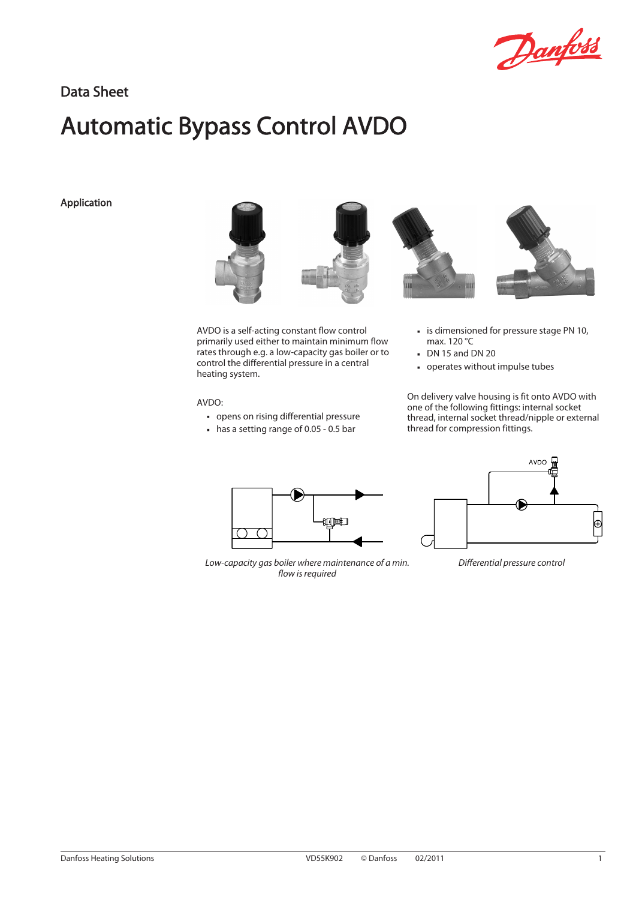

# Data Sheet

# Automatic Bypass Control AVDO

### Application





### AVDO:

- opens on rising differential pressure
- has a setting range of 0.05 0.5 bar





- is dimensioned for pressure stage PN 10, max. 120 °C
- DN 15 and DN 20
- operates without impulse tubes

On delivery valve housing is fit onto AVDO with one of the following fittings: internal socket thread, internal socket thread/nipple or external thread for compression fittings.



*Low-capacity gas boiler where maintenance of a min. flow is required*



*Differential pressure control*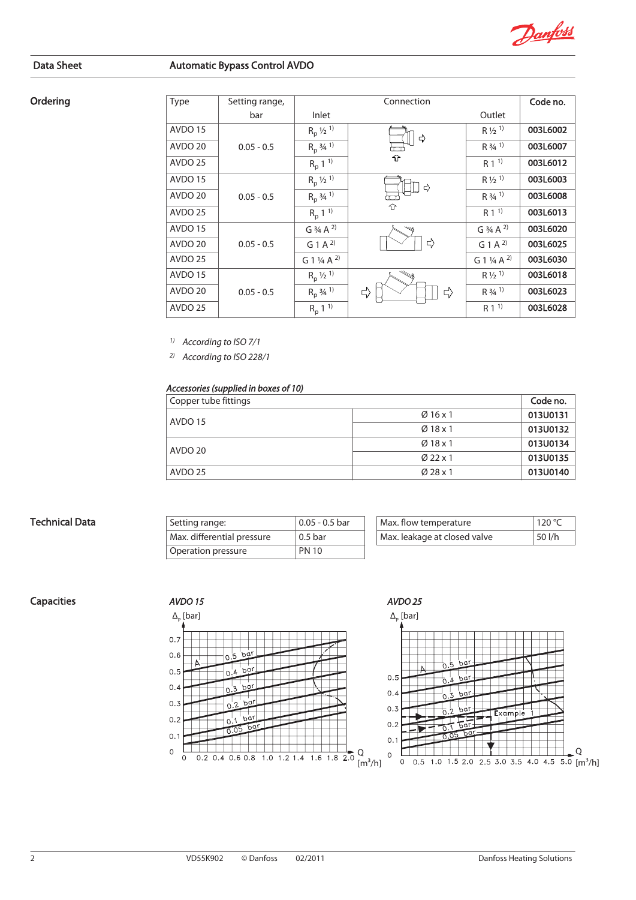

### Data Sheet **Automatic Bypass Control AVDO**

| Ordering | Type           | Setting range, |                                   | Connection                                                                                        |                                   | Code no. |
|----------|----------------|----------------|-----------------------------------|---------------------------------------------------------------------------------------------------|-----------------------------------|----------|
|          |                | bar            | Inlet                             |                                                                                                   | Outlet                            |          |
|          | AVDO 15        |                | $R_p \frac{1}{2}$ <sup>1)</sup>   | $\Rightarrow$                                                                                     | $R\frac{1}{2}$ <sup>1)</sup>      | 003L6002 |
|          | AVDO 20        | $0.05 - 0.5$   | $R_p$ 3/4 <sup>1)</sup>           | $\mathbf{\mathbf{\mathbf{\mathbf{\mathbf{\mathbf{\mathbf{\mathbf{\mathbf{\mathbf{C}}}}}}}}}$<br>ক | $R \frac{3}{4}$ <sup>1)</sup>     | 003L6007 |
|          | AVDO 25        |                | $R_p$ 1 <sup>1</sup>              |                                                                                                   | $R1^{1}$                          | 003L6012 |
|          | AVDO 15        |                | $R_p$ $\frac{1}{2}$ 1)            | D⇒                                                                                                | $R\frac{1}{2}$ <sup>1)</sup>      | 003L6003 |
|          | AVDO 20        | $0.05 - 0.5$   | $R_p$ 3/4 1)                      | $\hat{r}$                                                                                         | $R \frac{3}{4}$ <sup>1)</sup>     | 003L6008 |
|          | <b>AVDO 25</b> |                | $R_p$ 1 <sup>1</sup>              |                                                                                                   | $R1^{1}$                          | 003L6013 |
|          | AVDO 15        |                | $G \frac{3}{4} A^{2}$             | ₩                                                                                                 | G $3/4$ A $^{2)}$                 | 003L6020 |
|          | AVDO 20        | $0.05 - 0.5$   | G 1 A <sup>2</sup>                | $\Rightarrow$                                                                                     | G 1 A $^{2)}$                     | 003L6025 |
|          | <b>AVDO 25</b> |                | G 1 $\frac{1}{4}$ A <sup>2)</sup> |                                                                                                   | G 1 $\frac{1}{4}$ A <sup>2)</sup> | 003L6030 |
|          | AVDO 15        |                | $R_p$ 1/2 <sup>1</sup>            |                                                                                                   | $R\frac{1}{2}$ <sup>1)</sup>      | 003L6018 |
|          | AVDO 20        | $0.05 - 0.5$   | $R_p \frac{3}{4}$ <sup>1)</sup>   | ⇨<br>⇨                                                                                            | $R \frac{3}{4}$ <sup>1)</sup>     | 003L6023 |
|          | <b>AVDO 25</b> |                | $R_p$ 1 <sup>1</sup>              |                                                                                                   | $R1^{1}$                          | 003L6028 |

*1) According to ISO 7/1*

*2) According to ISO 228/1*

### *Accessories (supplied in boxes of 10)*

| Copper tube fittings |                      | Code no. |
|----------------------|----------------------|----------|
| AVDO 15              | Ø16x1                | 013U0131 |
|                      | $Ø$ 18 x 1           | 013U0132 |
| AVDO 20              | $Ø$ 18 x 1           | 013U0134 |
|                      | $\varnothing$ 22 x 1 | 013U0135 |
| AVDO 25              | $Ø$ 28 x 1           | 013U0140 |

# Technical Data

| Setting range:             | $0.05 - 0.5$ bar | Max. flow temperature        |
|----------------------------|------------------|------------------------------|
| Max. differential pressure | $0.5$ bar        | Max. leakage at closed valve |
| Operation pressure         | <b>PN 10</b>     |                              |



 $\overline{120°C}$  $50$  l/h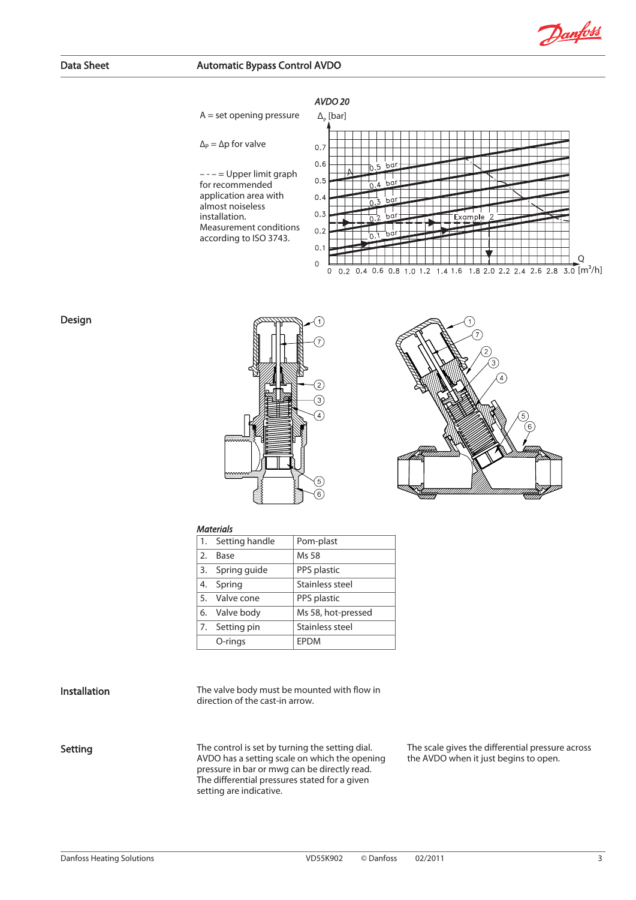Danfoss

### *AVDO 20*



 $\Delta_P = \Delta p$  for valve

– - – = Upper limit graph for recommended application area with almost noiseless installation. Measurement conditions according to ISO 3743.



### Design





### *Materials*

|     | 1. Setting handle | Pom-plast          |
|-----|-------------------|--------------------|
| 2.5 | Base              | Ms 58              |
| 3.  | Spring guide      | PPS plastic        |
| 4.  | Spring            | Stainless steel    |
|     | 5. Valve cone     | PPS plastic        |
|     | 6. Valve body     | Ms 58, hot-pressed |
|     | 7. Setting pin    | Stainless steel    |
|     | O-rings           | EPDM               |

Installation The valve body must be mounted with flow in direction of the cast-in arrow.

Setting The control is set by turning the setting dial. AVDO has a setting scale on which the opening pressure in bar or mwg can be directly read. The differential pressures stated for a given setting are indicative.

The scale gives the differential pressure across the AVDO when it just begins to open.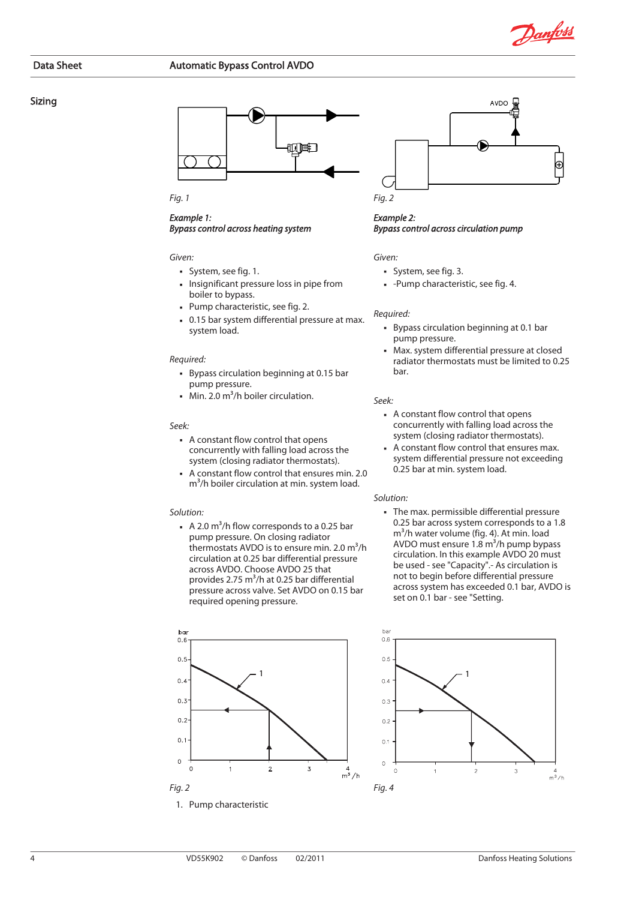

### Data Sheet **Automatic Bypass Control AVDO**

### Sizing



### *Example 1: Bypass control across heating system*

### *Given:*

- System, see fig. 1.
- **·** Insignificant pressure loss in pipe from boiler to bypass.
- Pump characteristic, see fig. 2.
- 0.15 bar system differential pressure at max. system load.

### *Required:*

- Bypass circulation beginning at 0.15 bar pump pressure.
- $\blacksquare$  Min. 2.0 m<sup>3</sup>/h boiler circulation.

### *Seek:*

- A constant flow control that opens concurrently with falling load across the system (closing radiator thermostats).
- A constant flow control that ensures min. 2.0  $m<sup>3</sup>/h$  boiler circulation at min. system load.

### *Solution:*

 $\cdot$  A 2.0 m<sup>3</sup>/h flow corresponds to a 0.25 bar pump pressure. On closing radiator thermostats AVDO is to ensure min. 2.0  $m^3/h$ circulation at 0.25 bar differential pressure across AVDO. Choose AVDO 25 that provides 2.75  $m^3/h$  at 0.25 bar differential pressure across valve. Set AVDO on 0.15 bar required opening pressure.



1. Pump characteristic



### *Example 2: Bypass control across circulation pump*

### *Given:*

- System, see fig. 3.
- -Pump characteristic, see fig. 4.

### *Required:*

- Bypass circulation beginning at 0.1 bar pump pressure.
- Max. system differential pressure at closed radiator thermostats must be limited to 0.25 bar.

### *Seek:*

- A constant flow control that opens concurrently with falling load across the system (closing radiator thermostats).
- A constant flow control that ensures max. system differential pressure not exceeding 0.25 bar at min. system load.

### *Solution:*

▪ The max. permissible differential pressure 0.25 bar across system corresponds to a 1.8  $m<sup>3</sup>/h$  water volume (fig. 4). At min. load AVDO must ensure  $1.8 \text{ m}^3/h$  pump bypass circulation. In this example AVDO 20 must be used - see "Capacity".- As circulation is not to begin before differential pressure across system has exceeded 0.1 bar, AVDO is set on 0.1 bar - see "Setting.

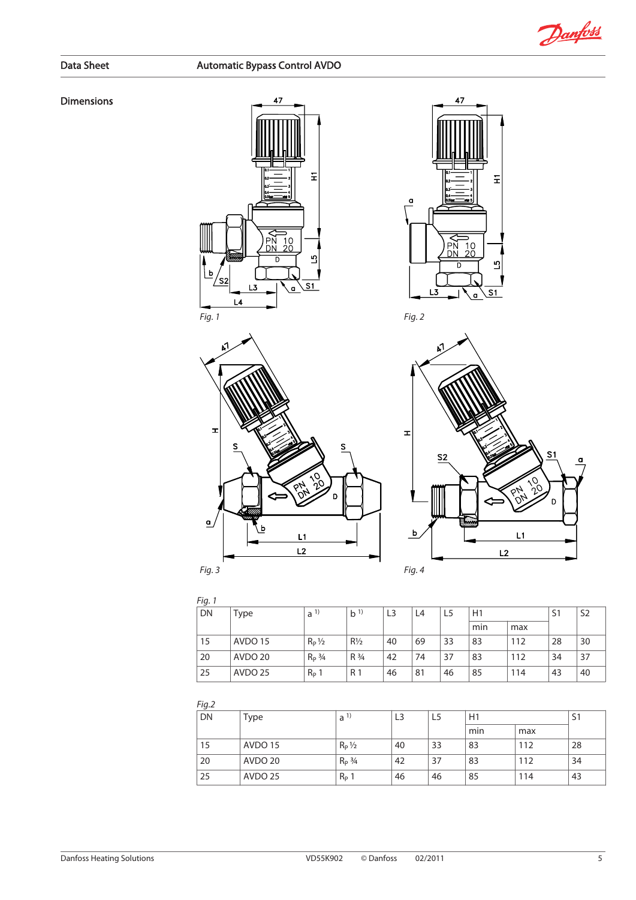

S<sub>1</sub>

 $L1$ 

 $L2$ 

d

## Dimensions



*Fig. 3 Fig. 4*

| Fig. 1 |         |                     |                |                |    |                |     |     |    |                |
|--------|---------|---------------------|----------------|----------------|----|----------------|-----|-----|----|----------------|
| DN     | Type    | $a^{1}$             | b <sup>1</sup> | L <sub>3</sub> | L4 | L <sub>5</sub> | H1  |     | S1 | S <sub>2</sub> |
|        |         |                     |                |                |    |                | min | max |    |                |
| 15     | AVDO 15 | $R_P$ $\frac{1}{2}$ | $R\frac{1}{2}$ | 40             | 69 | 33             | 83  | 112 | 28 | 30             |
| 20     | AVDO 20 | $R_P$ $\frac{3}{4}$ | $R\frac{3}{4}$ | 42             | 74 | 37             | 83  | 112 | 34 | 37             |
| 25     | AVDO 25 | $R_{\rm p}$ 1       | R 1            | 46             | 81 | 46             | 85  | 114 | 43 | 40             |

| DN | Type    | a <sup>1</sup>      | L <sub>3</sub> | H1<br>L5 |     | S1  |    |
|----|---------|---------------------|----------------|----------|-----|-----|----|
|    |         |                     |                |          | min | max |    |
| 15 | AVDO 15 | $Rp$ $\frac{1}{2}$  | 40             | 33       | 83  | 112 | 28 |
| 20 | AVDO 20 | $R_P$ $\frac{3}{4}$ | 42             | 37       | 83  | 112 | 34 |
| 25 | AVDO 25 | $R_{p}$ 1           | 46             | 46       | 85  | 114 | 43 |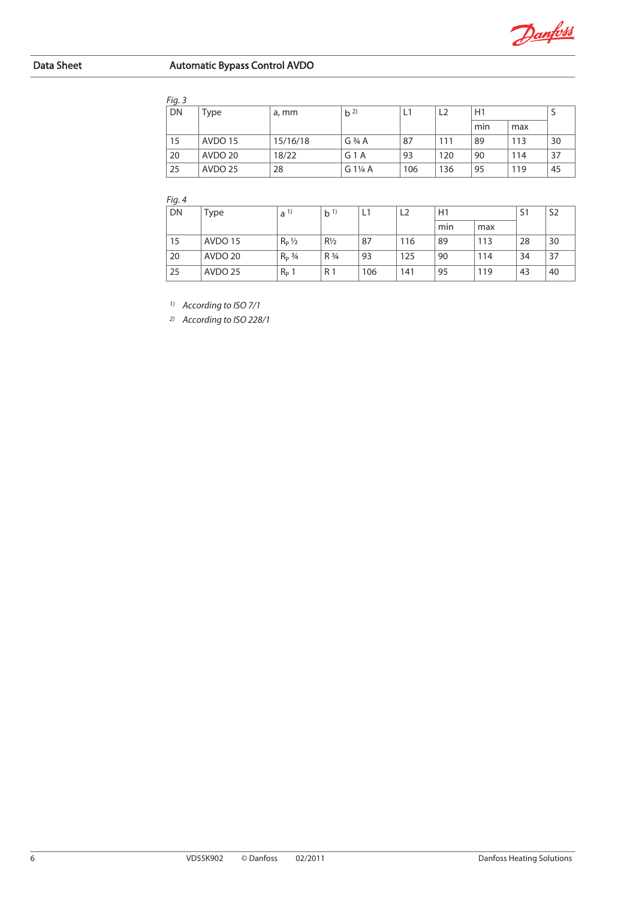

# Data Sheet **Automatic Bypass Control AVDO**

| Fig. 3    |         |          |                                 |     |                |     |     |    |  |  |  |
|-----------|---------|----------|---------------------------------|-----|----------------|-----|-----|----|--|--|--|
| <b>DN</b> | Type    | a, mm    | $b^{2}$                         | L1  | L <sub>2</sub> | H1  |     |    |  |  |  |
|           |         |          |                                 |     |                | min | max |    |  |  |  |
| 15        | AVDO 15 | 15/16/18 | G <sup>3</sup> / <sub>4</sub> A | 87  | 111            | 89  | 113 | 30 |  |  |  |
| 20        | AVDO 20 | 18/22    | G1A                             | 93  | 120            | 90  | 114 | 37 |  |  |  |
| 25        | AVDO 25 | 28       | G 1¼ A                          | 106 | 136            | 95  | 119 | 45 |  |  |  |

### *Fig. 4*

| DN | Type    | a <sup>1</sup>     | b <sup>1</sup> | L1  | L2  | H1  |     |    | S <sub>2</sub> |
|----|---------|--------------------|----------------|-----|-----|-----|-----|----|----------------|
|    |         |                    |                |     |     | min | max |    |                |
| 15 | AVDO 15 | $Rp$ $\frac{1}{2}$ | $R\frac{1}{2}$ | 87  | 116 | 89  | 113 | 28 | 30             |
| 20 | AVDO 20 | $Rp$ $\frac{3}{4}$ | $R\frac{3}{4}$ | 93  | 125 | 90  | 114 | 34 | 37             |
| 25 | AVDO 25 | $R_{p}$ 1          | R 1            | 106 | 141 | 95  | 119 | 43 | 40             |

*1) According to ISO 7/1*

*2) According to ISO 228/1*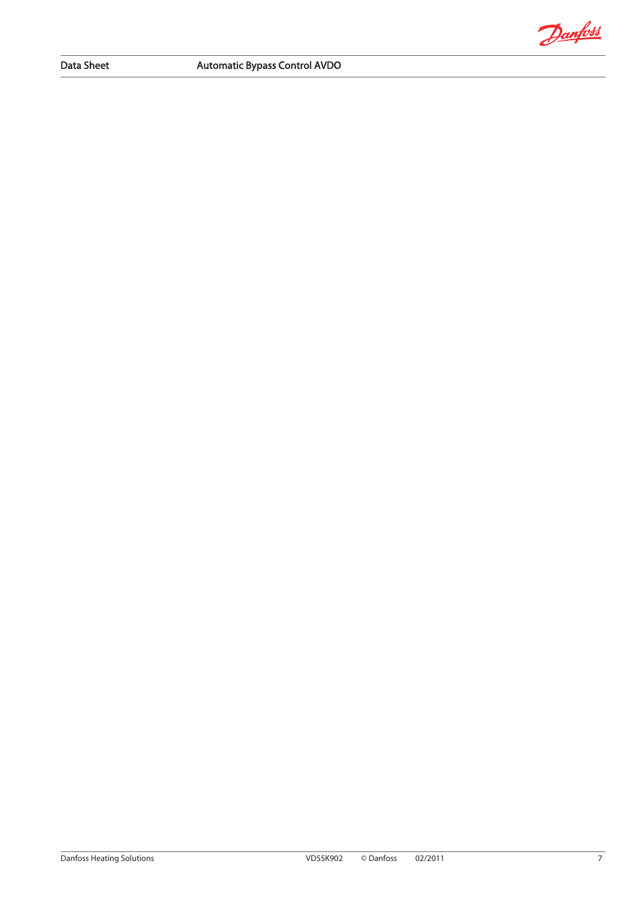